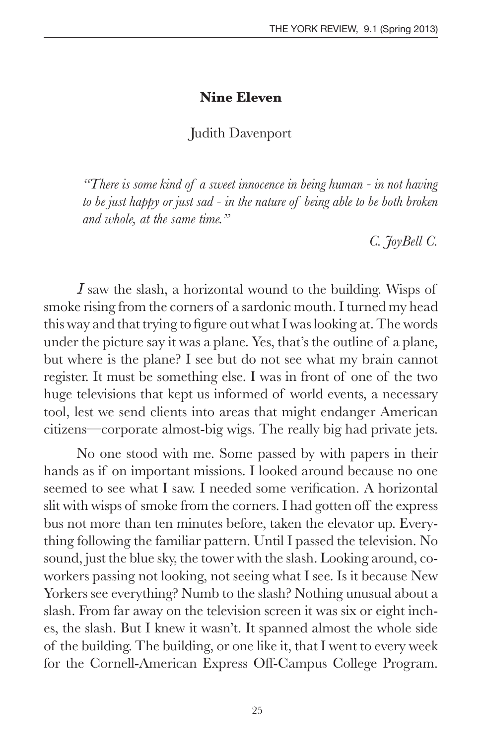## **Nine Eleven**

## Judith Davenport

*"There is some kind of a sweet innocence in being human - in not having to be just happy or just sad - in the nature of being able to be both broken and whole, at the same time."* 

*C. JoyBell C.*

*I* saw the slash, a horizontal wound to the building. Wisps of smoke rising from the corners of a sardonic mouth. I turned my head this way and that trying to figure out what I was looking at. The words under the picture say it was a plane. Yes, that's the outline of a plane, but where is the plane? I see but do not see what my brain cannot register. It must be something else. I was in front of one of the two huge televisions that kept us informed of world events, a necessary tool, lest we send clients into areas that might endanger American citizens—corporate almost-big wigs. The really big had private jets.

No one stood with me. Some passed by with papers in their hands as if on important missions. I looked around because no one seemed to see what I saw. I needed some verification. A horizontal slit with wisps of smoke from the corners. I had gotten off the express bus not more than ten minutes before, taken the elevator up. Everything following the familiar pattern. Until I passed the television. No sound, just the blue sky, the tower with the slash. Looking around, coworkers passing not looking, not seeing what I see. Is it because New Yorkers see everything? Numb to the slash? Nothing unusual about a slash. From far away on the television screen it was six or eight inches, the slash. But I knew it wasn't. It spanned almost the whole side of the building. The building, or one like it, that I went to every week for the Cornell-American Express Off-Campus College Program.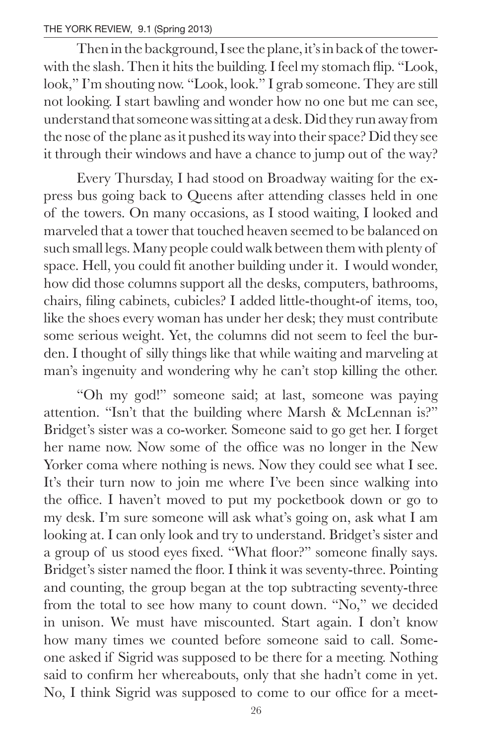Then in the background, I see the plane, it's in back of the towerwith the slash. Then it hits the building. I feel my stomach flip. "Look, look," I'm shouting now. "Look, look." I grab someone. They are still not looking. I start bawling and wonder how no one but me can see, understand that someone was sitting at a desk. Did they run away from the nose of the plane as it pushed its way into their space? Did they see it through their windows and have a chance to jump out of the way?

Every Thursday, I had stood on Broadway waiting for the express bus going back to Queens after attending classes held in one of the towers. On many occasions, as I stood waiting, I looked and marveled that a tower that touched heaven seemed to be balanced on such small legs. Many people could walk between them with plenty of space. Hell, you could fit another building under it. I would wonder, how did those columns support all the desks, computers, bathrooms, chairs, filing cabinets, cubicles? I added little-thought-of items, too, like the shoes every woman has under her desk; they must contribute some serious weight. Yet, the columns did not seem to feel the burden. I thought of silly things like that while waiting and marveling at man's ingenuity and wondering why he can't stop killing the other.

"Oh my god!" someone said; at last, someone was paying attention. "Isn't that the building where Marsh & McLennan is?" Bridget's sister was a co-worker. Someone said to go get her. I forget her name now. Now some of the office was no longer in the New Yorker coma where nothing is news. Now they could see what I see. It's their turn now to join me where I've been since walking into the office. I haven't moved to put my pocketbook down or go to my desk. I'm sure someone will ask what's going on, ask what I am looking at. I can only look and try to understand. Bridget's sister and a group of us stood eyes fixed. "What floor?" someone finally says. Bridget's sister named the floor. I think it was seventy-three. Pointing and counting, the group began at the top subtracting seventy-three from the total to see how many to count down. "No," we decided in unison. We must have miscounted. Start again. I don't know how many times we counted before someone said to call. Someone asked if Sigrid was supposed to be there for a meeting. Nothing said to confirm her whereabouts, only that she hadn't come in yet. No, I think Sigrid was supposed to come to our office for a meet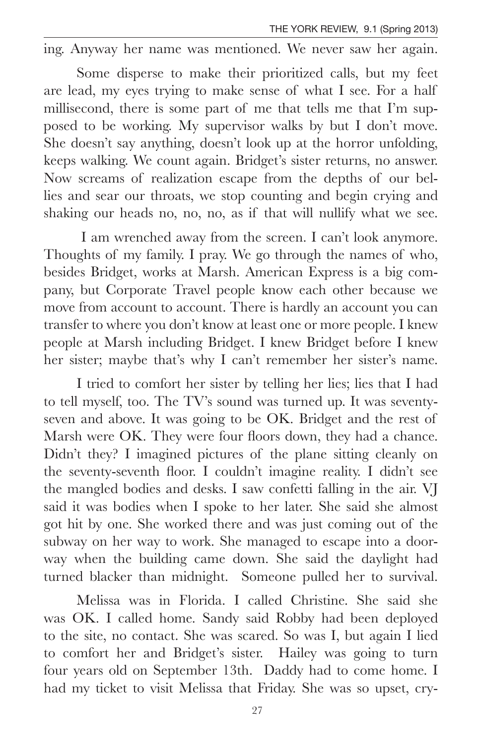ing. Anyway her name was mentioned. We never saw her again.

Some disperse to make their prioritized calls, but my feet are lead, my eyes trying to make sense of what I see. For a half millisecond, there is some part of me that tells me that I'm supposed to be working. My supervisor walks by but I don't move. She doesn't say anything, doesn't look up at the horror unfolding, keeps walking. We count again. Bridget's sister returns, no answer. Now screams of realization escape from the depths of our bellies and sear our throats, we stop counting and begin crying and shaking our heads no, no, no, as if that will nullify what we see.

 I am wrenched away from the screen. I can't look anymore. Thoughts of my family. I pray. We go through the names of who, besides Bridget, works at Marsh. American Express is a big company, but Corporate Travel people know each other because we move from account to account. There is hardly an account you can transfer to where you don't know at least one or more people. I knew people at Marsh including Bridget. I knew Bridget before I knew her sister; maybe that's why I can't remember her sister's name.

I tried to comfort her sister by telling her lies; lies that I had to tell myself, too. The TV's sound was turned up. It was seventyseven and above. It was going to be OK. Bridget and the rest of Marsh were OK. They were four floors down, they had a chance. Didn't they? I imagined pictures of the plane sitting cleanly on the seventy-seventh floor. I couldn't imagine reality. I didn't see the mangled bodies and desks. I saw confetti falling in the air. VJ said it was bodies when I spoke to her later. She said she almost got hit by one. She worked there and was just coming out of the subway on her way to work. She managed to escape into a doorway when the building came down. She said the daylight had turned blacker than midnight. Someone pulled her to survival.

Melissa was in Florida. I called Christine. She said she was OK. I called home. Sandy said Robby had been deployed to the site, no contact. She was scared. So was I, but again I lied to comfort her and Bridget's sister. Hailey was going to turn four years old on September 13th. Daddy had to come home. I had my ticket to visit Melissa that Friday. She was so upset, cry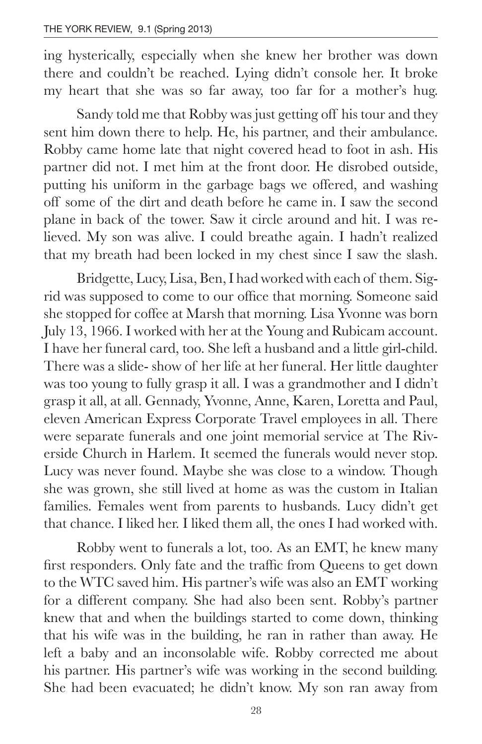ing hysterically, especially when she knew her brother was down there and couldn't be reached. Lying didn't console her. It broke my heart that she was so far away, too far for a mother's hug.

Sandy told me that Robby was just getting off his tour and they sent him down there to help. He, his partner, and their ambulance. Robby came home late that night covered head to foot in ash. His partner did not. I met him at the front door. He disrobed outside, putting his uniform in the garbage bags we offered, and washing off some of the dirt and death before he came in. I saw the second plane in back of the tower. Saw it circle around and hit. I was relieved. My son was alive. I could breathe again. I hadn't realized that my breath had been locked in my chest since I saw the slash.

Bridgette, Lucy, Lisa, Ben, I had worked with each of them. Sigrid was supposed to come to our office that morning. Someone said she stopped for coffee at Marsh that morning. Lisa Yvonne was born July 13, 1966. I worked with her at the Young and Rubicam account. I have her funeral card, too. She left a husband and a little girl-child. There was a slide- show of her life at her funeral. Her little daughter was too young to fully grasp it all. I was a grandmother and I didn't grasp it all, at all. Gennady, Yvonne, Anne, Karen, Loretta and Paul, eleven American Express Corporate Travel employees in all. There were separate funerals and one joint memorial service at The Riverside Church in Harlem. It seemed the funerals would never stop. Lucy was never found. Maybe she was close to a window. Though she was grown, she still lived at home as was the custom in Italian families. Females went from parents to husbands. Lucy didn't get that chance. I liked her. I liked them all, the ones I had worked with.

Robby went to funerals a lot, too. As an EMT, he knew many first responders. Only fate and the traffic from Queens to get down to the WTC saved him. His partner's wife was also an EMT working for a different company. She had also been sent. Robby's partner knew that and when the buildings started to come down, thinking that his wife was in the building, he ran in rather than away. He left a baby and an inconsolable wife. Robby corrected me about his partner. His partner's wife was working in the second building. She had been evacuated; he didn't know. My son ran away from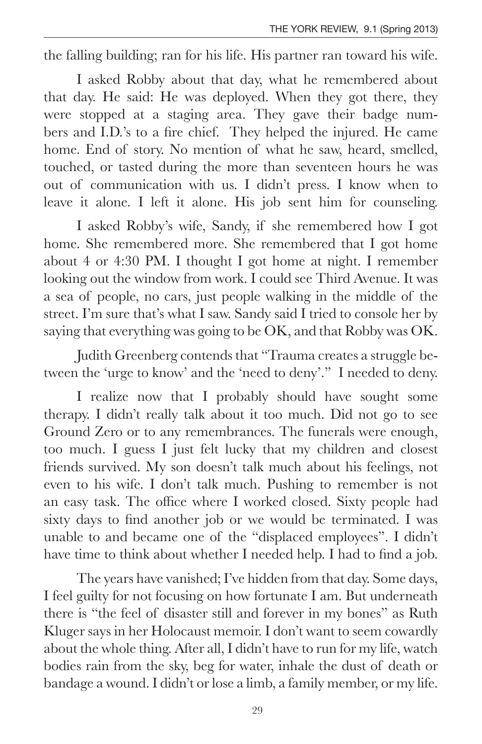the falling building; ran for his life. His partner ran toward his wife.

I asked Robby about that day, what he remembered about that day. He said: He was deployed. When they got there, they were stopped at a staging area. They gave their badge numbers and I.D.'s to a fire chief. They helped the injured. He came home. End of story. No mention of what he saw, heard, smelled, touched, or tasted during the more than seventeen hours he was out of communication with us. I didn't press. I know when to leave it alone. I left it alone. His job sent him for counseling.

I asked Robby's wife, Sandy, if she remembered how I got home. She remembered more. She remembered that I got home about 4 or 4:30 PM. I thought I got home at night. I remember looking out the window from work. I could see Third Avenue. It was a sea of people, no cars, just people walking in the middle of the street. I'm sure that's what I saw. Sandy said I tried to console her by saying that everything was going to be OK, and that Robby was OK.

Judith Greenberg contends that "Trauma creates a struggle between the 'urge to know' and the 'need to deny'." I needed to deny.

I realize now that I probably should have sought some therapy. I didn't really talk about it too much. Did not go to see Ground Zero or to any remembrances. The funerals were enough, too much. I guess I just felt lucky that my children and closest friends survived. My son doesn't talk much about his feelings, not even to his wife. I don't talk much. Pushing to remember is not an easy task. The office where I worked closed. Sixty people had sixty days to find another job or we would be terminated. I was unable to and became one of the "displaced employees". I didn't have time to think about whether I needed help. I had to find a job.

The years have vanished; I've hidden from that day. Some days, I feel guilty for not focusing on how fortunate I am. But underneath there is "the feel of disaster still and forever in my bones" as Ruth Kluger says in her Holocaust memoir. I don't want to seem cowardly about the whole thing. After all, I didn't have to run for my life, watch bodies rain from the sky, beg for water, inhale the dust of death or bandage a wound. I didn't or lose a limb, a family member, or my life.